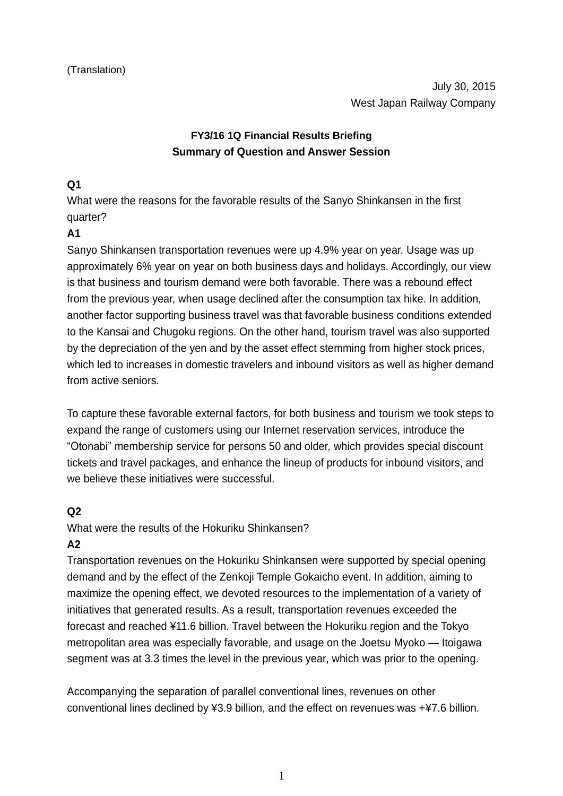## **FY3/16 1Q Financial Results Briefing Summary of Question and Answer Session**

#### **Q1**

What were the reasons for the favorable results of the Sanyo Shinkansen in the first quarter?

## **A1**

Sanyo Shinkansen transportation revenues were up 4.9% year on year. Usage was up approximately 6% year on year on both business days and holidays. Accordingly, our view is that business and tourism demand were both favorable. There was a rebound effect from the previous year, when usage declined after the consumption tax hike. In addition, another factor supporting business travel was that favorable business conditions extended to the Kansai and Chugoku regions. On the other hand, tourism travel was also supported by the depreciation of the yen and by the asset effect stemming from higher stock prices, which led to increases in domestic travelers and inbound visitors as well as higher demand from active seniors.

To capture these favorable external factors, for both business and tourism we took steps to expand the range of customers using our Internet reservation services, introduce the "Otonabi" membership service for persons 50 and older, which provides special discount tickets and travel packages, and enhance the lineup of products for inbound visitors, and we believe these initiatives were successful.

## **Q2**

What were the results of the Hokuriku Shinkansen?

# **A2**

Transportation revenues on the Hokuriku Shinkansen were supported by special opening demand and by the effect of the Zenkoji Temple Gokaicho event. In addition, aiming to maximize the opening effect, we devoted resources to the implementation of a variety of initiatives that generated results. As a result, transportation revenues exceeded the forecast and reached ¥11.6 billion. Travel between the Hokuriku region and the Tokyo metropolitan area was especially favorable, and usage on the Joetsu Myoko — Itoigawa segment was at 3.3 times the level in the previous year, which was prior to the opening.

Accompanying the separation of parallel conventional lines, revenues on other conventional lines declined by ¥3.9 billion, and the effect on revenues was +¥7.6 billion.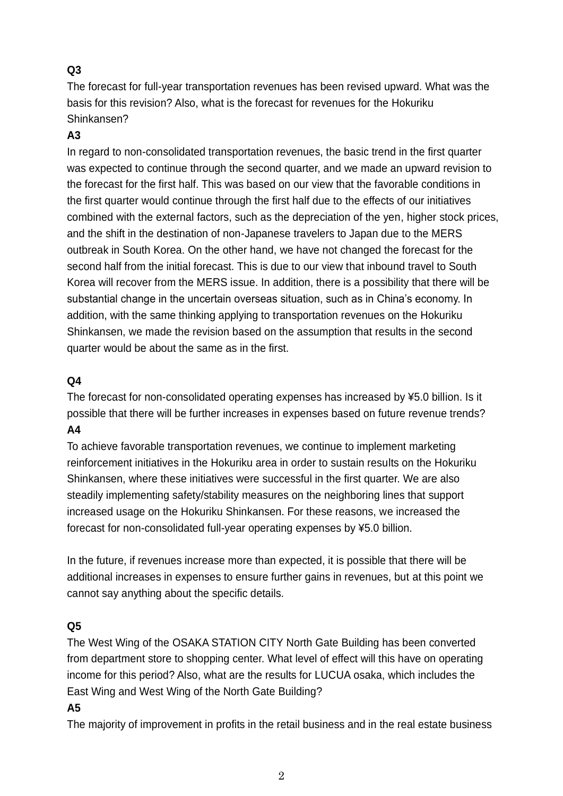# **Q3**

The forecast for full-year transportation revenues has been revised upward. What was the basis for this revision? Also, what is the forecast for revenues for the Hokuriku Shinkansen?

## **A3**

In regard to non-consolidated transportation revenues, the basic trend in the first quarter was expected to continue through the second quarter, and we made an upward revision to the forecast for the first half. This was based on our view that the favorable conditions in the first quarter would continue through the first half due to the effects of our initiatives combined with the external factors, such as the depreciation of the yen, higher stock prices, and the shift in the destination of non-Japanese travelers to Japan due to the MERS outbreak in South Korea. On the other hand, we have not changed the forecast for the second half from the initial forecast. This is due to our view that inbound travel to South Korea will recover from the MERS issue. In addition, there is a possibility that there will be substantial change in the uncertain overseas situation, such as in China's economy. In addition, with the same thinking applying to transportation revenues on the Hokuriku Shinkansen, we made the revision based on the assumption that results in the second quarter would be about the same as in the first.

## **Q4**

The forecast for non-consolidated operating expenses has increased by ¥5.0 billion. Is it possible that there will be further increases in expenses based on future revenue trends? **A4**

To achieve favorable transportation revenues, we continue to implement marketing reinforcement initiatives in the Hokuriku area in order to sustain results on the Hokuriku Shinkansen, where these initiatives were successful in the first quarter. We are also steadily implementing safety/stability measures on the neighboring lines that support increased usage on the Hokuriku Shinkansen. For these reasons, we increased the forecast for non-consolidated full-year operating expenses by ¥5.0 billion.

In the future, if revenues increase more than expected, it is possible that there will be additional increases in expenses to ensure further gains in revenues, but at this point we cannot say anything about the specific details.

## **Q5**

The West Wing of the OSAKA STATION CITY North Gate Building has been converted from department store to shopping center. What level of effect will this have on operating income for this period? Also, what are the results for LUCUA osaka, which includes the East Wing and West Wing of the North Gate Building?

#### **A5**

The majority of improvement in profits in the retail business and in the real estate business